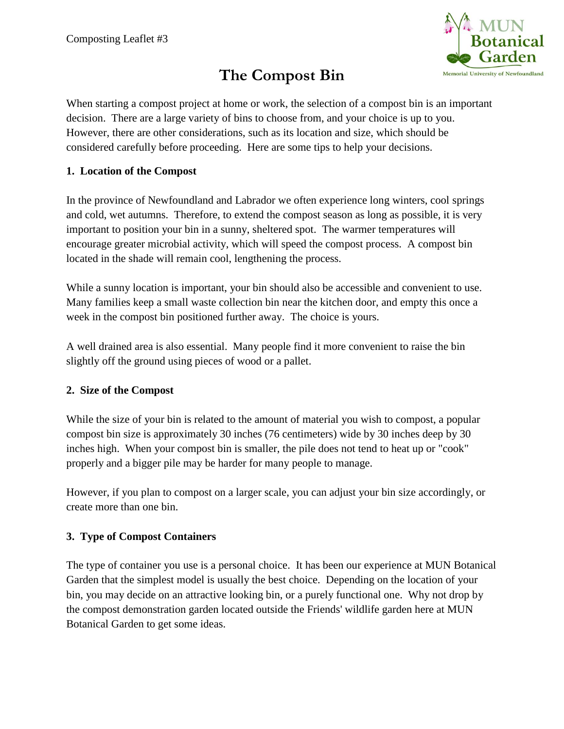

# **The Compost Bin**

When starting a compost project at home or work, the selection of a compost bin is an important decision. There are a large variety of bins to choose from, and your choice is up to you. However, there are other considerations, such as its location and size, which should be considered carefully before proceeding. Here are some tips to help your decisions.

### **1. Location of the Compost**

In the province of Newfoundland and Labrador we often experience long winters, cool springs and cold, wet autumns. Therefore, to extend the compost season as long as possible, it is very important to position your bin in a sunny, sheltered spot. The warmer temperatures will encourage greater microbial activity, which will speed the compost process. A compost bin located in the shade will remain cool, lengthening the process.

While a sunny location is important, your bin should also be accessible and convenient to use. Many families keep a small waste collection bin near the kitchen door, and empty this once a week in the compost bin positioned further away. The choice is yours.

A well drained area is also essential. Many people find it more convenient to raise the bin slightly off the ground using pieces of wood or a pallet.

### **2. Size of the Compost**

While the size of your bin is related to the amount of material you wish to compost, a popular compost bin size is approximately 30 inches (76 centimeters) wide by 30 inches deep by 30 inches high. When your compost bin is smaller, the pile does not tend to heat up or "cook" properly and a bigger pile may be harder for many people to manage.

However, if you plan to compost on a larger scale, you can adjust your bin size accordingly, or create more than one bin.

### **3. Type of Compost Containers**

The type of container you use is a personal choice. It has been our experience at MUN Botanical Garden that the simplest model is usually the best choice. Depending on the location of your bin, you may decide on an attractive looking bin, or a purely functional one. Why not drop by the compost demonstration garden located outside the Friends' wildlife garden here at MUN Botanical Garden to get some ideas.